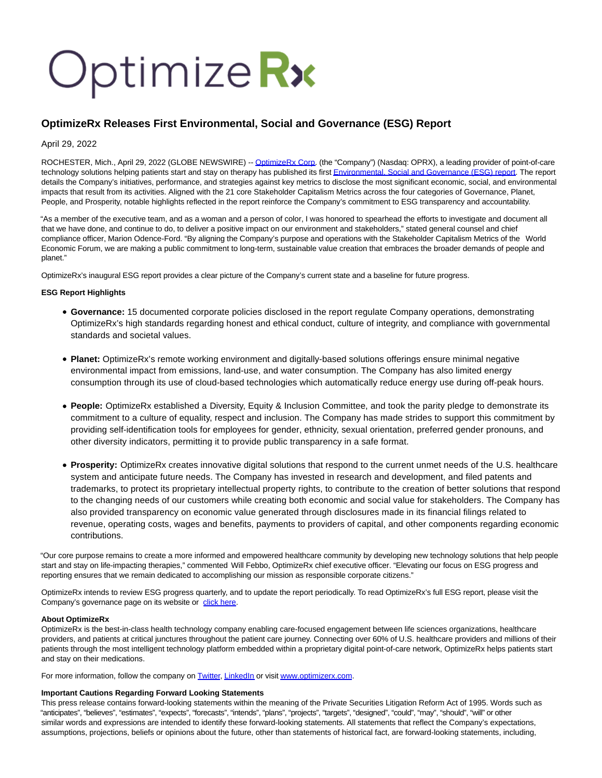# Optimize Rx

# **OptimizeRx Releases First Environmental, Social and Governance (ESG) Report**

### April 29, 2022

ROCHESTER, Mich., April 29, 2022 (GLOBE NEWSWIRE) -- [OptimizeRx Corp.](https://www.globenewswire.com/Tracker?data=9fxNjbcbiA_iKjOxrT6SNEvI8RNPY7RyhZSDddSGmdfxJsF0mzqHsXXgY6jXbTwBM3WEbEU3JcYmqxNO06weAA==) (the "Company") (Nasdaq: OPRX), a leading provider of point-of-care technology solutions helping patients start and stay on therapy has published its firs[t Environmental, Social and Governance \(ESG\) report.](https://www.globenewswire.com/Tracker?data=tLT7Xp3ppOPoEk9gDh91zTLUXkMbIn7kY5A-7UpPHbNLtoB6c3Tl3EKUi6-_mjzhJ6eTn9sFYQh1CgheosGBAqfeDnUgi49TjqLpbowB3CYe2dLzRXGQtoGpCXw07rXBpYnc223AbLvTjOE-EkLXyHskcceOM7Ujfc-0FEDjhOXWnQ_LZHWO9nSvAPgqdXHxt4a9ypfbMQ_ogpVFKWbgfA==) The report details the Company's initiatives, performance, and strategies against key metrics to disclose the most significant economic, social, and environmental impacts that result from its activities. Aligned with the 21 core Stakeholder Capitalism Metrics across the four categories of Governance, Planet, People, and Prosperity, notable highlights reflected in the report reinforce the Company's commitment to ESG transparency and accountability.

"As a member of the executive team, and as a woman and a person of color, I was honored to spearhead the efforts to investigate and document all that we have done, and continue to do, to deliver a positive impact on our environment and stakeholders," stated general counsel and chief compliance officer, Marion Odence-Ford. "By aligning the Company's purpose and operations with the Stakeholder Capitalism Metrics of the World Economic Forum, we are making a public commitment to long-term, sustainable value creation that embraces the broader demands of people and planet."

OptimizeRx's inaugural ESG report provides a clear picture of the Company's current state and a baseline for future progress.

#### **ESG Report Highlights**

- **Governance:** 15 documented corporate policies disclosed in the report regulate Company operations, demonstrating OptimizeRx's high standards regarding honest and ethical conduct, culture of integrity, and compliance with governmental standards and societal values.
- **Planet:** OptimizeRx's remote working environment and digitally-based solutions offerings ensure minimal negative environmental impact from emissions, land-use, and water consumption. The Company has also limited energy consumption through its use of cloud-based technologies which automatically reduce energy use during off-peak hours.
- **People:** OptimizeRx established a Diversity, Equity & Inclusion Committee, and took the parity pledge to demonstrate its commitment to a culture of equality, respect and inclusion. The Company has made strides to support this commitment by providing self-identification tools for employees for gender, ethnicity, sexual orientation, preferred gender pronouns, and other diversity indicators, permitting it to provide public transparency in a safe format.
- **Prosperity:** OptimizeRx creates innovative digital solutions that respond to the current unmet needs of the U.S. healthcare system and anticipate future needs. The Company has invested in research and development, and filed patents and trademarks, to protect its proprietary intellectual property rights, to contribute to the creation of better solutions that respond to the changing needs of our customers while creating both economic and social value for stakeholders. The Company has also provided transparency on economic value generated through disclosures made in its financial filings related to revenue, operating costs, wages and benefits, payments to providers of capital, and other components regarding economic contributions.

"Our core purpose remains to create a more informed and empowered healthcare community by developing new technology solutions that help people start and stay on life-impacting therapies," commented Will Febbo, OptimizeRx chief executive officer. "Elevating our focus on ESG progress and reporting ensures that we remain dedicated to accomplishing our mission as responsible corporate citizens."

OptimizeRx intends to review ESG progress quarterly, and to update the report periodically. To read OptimizeRx's full ESG report, please visit the Company's governance page on its website or [click here.](https://www.globenewswire.com/Tracker?data=URfMkK1U9uV16aDMhnBro3hDSDARyHx5g66gLV-w-FvHEl2e1MZxSPX9hsISNM_gafhbXKzpN4afEwxfhI7bs8KCkNSXeBf0SqQc8_I72-SLJ-3_nO9Ts9pRpFRVK8qEikxcEaPxWqil88uIXzUrY7CmSy7gbDVU23CTOG-qoNA=)

#### **About OptimizeRx**

OptimizeRx is the best-in-class health technology company enabling care-focused engagement between life sciences organizations, healthcare providers, and patients at critical junctures throughout the patient care journey. Connecting over 60% of U.S. healthcare providers and millions of their patients through the most intelligent technology platform embedded within a proprietary digital point-of-care network, OptimizeRx helps patients start and stay on their medications.

For more information, follow the company on **Twitter**, [LinkedIn o](https://www.globenewswire.com/Tracker?data=YkKXcPLZPRci9NWM7feolYCN4ZVw95jHmE2TIlEhjPGI_BQpcnlkT4xk07Tlr_hryoS2Y8IoWwy1zRVqIdlWp6Fz8X6sMV6oVLxGidRmamk=)r visit www.optimizerx.com.

## **Important Cautions Regarding Forward Looking Statements**

This press release contains forward-looking statements within the meaning of the Private Securities Litigation Reform Act of 1995. Words such as "anticipates", "believes", "estimates", "expects", "forecasts", "intends", "plans", "projects", "targets", "designed", "could", "may", "should", "will" or other similar words and expressions are intended to identify these forward-looking statements. All statements that reflect the Company's expectations, assumptions, projections, beliefs or opinions about the future, other than statements of historical fact, are forward-looking statements, including,